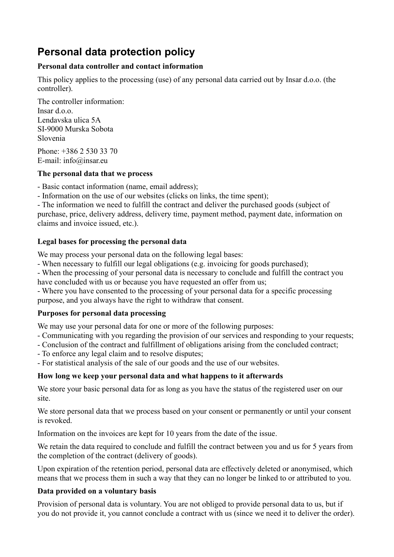# **Personal data protection policy**

## **Personal data controller and contact information**

This policy applies to the processing (use) of any personal data carried out by Insar d.o.o. (the controller).

The controller information: Insar d.o.o. Lendavska ulica 5A SI-9000 Murska Sobota Slovenia

Phone: +386 2 530 33 70 E-mail: info@insar.eu

## **The personal data that we process**

- Basic contact information (name, email address);

- Information on the use of our websites (clicks on links, the time spent);

- The information we need to fulfill the contract and deliver the purchased goods (subject of purchase, price, delivery address, delivery time, payment method, payment date, information on claims and invoice issued, etc.).

## **Legal bases for processing the personal data**

We may process your personal data on the following legal bases:

- When necessary to fulfill our legal obligations (e.g. invoicing for goods purchased);

- When the processing of your personal data is necessary to conclude and fulfill the contract you have concluded with us or because you have requested an offer from us;

- Where you have consented to the processing of your personal data for a specific processing purpose, and you always have the right to withdraw that consent.

## **Purposes for personal data processing**

We may use your personal data for one or more of the following purposes:

- Communicating with you regarding the provision of our services and responding to your requests;
- Conclusion of the contract and fulfillment of obligations arising from the concluded contract;
- To enforce any legal claim and to resolve disputes;

- For statistical analysis of the sale of our goods and the use of our websites.

## **How long we keep your personal data and what happens to it afterwards**

We store your basic personal data for as long as you have the status of the registered user on our site.

We store personal data that we process based on your consent or permanently or until your consent is revoked.

Information on the invoices are kept for 10 years from the date of the issue.

We retain the data required to conclude and fulfill the contract between you and us for 5 years from the completion of the contract (delivery of goods).

Upon expiration of the retention period, personal data are effectively deleted or anonymised, which means that we process them in such a way that they can no longer be linked to or attributed to you.

## **Data provided on a voluntary basis**

Provision of personal data is voluntary. You are not obliged to provide personal data to us, but if you do not provide it, you cannot conclude a contract with us (since we need it to deliver the order).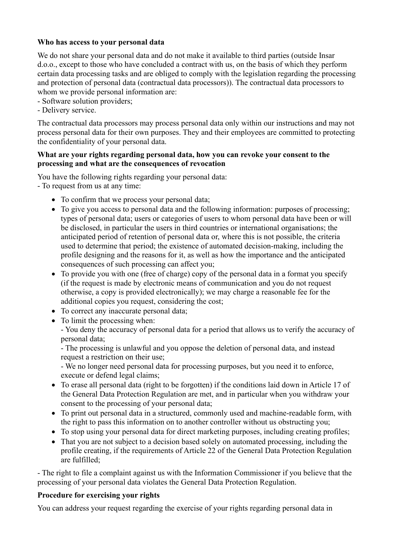### **Who has access to your personal data**

We do not share your personal data and do not make it available to third parties (outside Insar d.o.o., except to those who have concluded a contract with us, on the basis of which they perform certain data processing tasks and are obliged to comply with the legislation regarding the processing and protection of personal data (contractual data processors)). The contractual data processors to whom we provide personal information are:

- Software solution providers;
- Delivery service.

The contractual data processors may process personal data only within our instructions and may not process personal data for their own purposes. They and their employees are committed to protecting the confidentiality of your personal data.

#### **What are your rights regarding personal data, how you can revoke your consent to the processing and what are the consequences of revocation**

You have the following rights regarding your personal data: - To request from us at any time:

- To confirm that we process your personal data;
- To give you access to personal data and the following information: purposes of processing: types of personal data; users or categories of users to whom personal data have been or will be disclosed, in particular the users in third countries or international organisations; the anticipated period of retention of personal data or, where this is not possible, the criteria used to determine that period; the existence of automated decision-making, including the profile designing and the reasons for it, as well as how the importance and the anticipated consequences of such processing can affect you;
- To provide you with one (free of charge) copy of the personal data in a format you specify (if the request is made by electronic means of communication and you do not request otherwise, a copy is provided electronically); we may charge a reasonable fee for the additional copies you request, considering the cost;
- To correct any inaccurate personal data;
- To limit the processing when:

- You deny the accuracy of personal data for a period that allows us to verify the accuracy of personal data;

- The processing is unlawful and you oppose the deletion of personal data, and instead request a restriction on their use;

- We no longer need personal data for processing purposes, but you need it to enforce, execute or defend legal claims;

- To erase all personal data (right to be forgotten) if the conditions laid down in Article 17 of the General Data Protection Regulation are met, and in particular when you withdraw your consent to the processing of your personal data;
- To print out personal data in a structured, commonly used and machine-readable form, with the right to pass this information on to another controller without us obstructing you;
- To stop using your personal data for direct marketing purposes, including creating profiles;
- That you are not subject to a decision based solely on automated processing, including the profile creating, if the requirements of Article 22 of the General Data Protection Regulation are fulfilled;

- The right to file a complaint against us with the Information Commissioner if you believe that the processing of your personal data violates the General Data Protection Regulation.

#### **Procedure for exercising your rights**

You can address your request regarding the exercise of your rights regarding personal data in